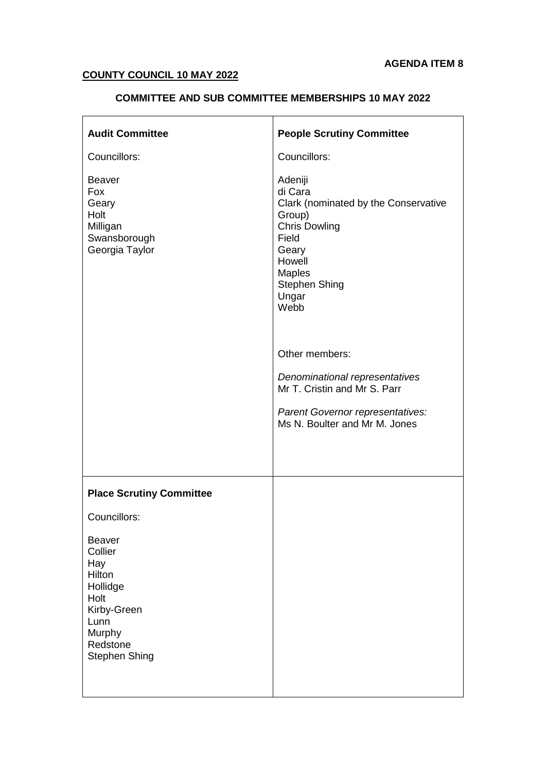#### **COUNTY COUNCIL 10 MAY 2022**

# **COMMITTEE AND SUB COMMITTEE MEMBERSHIPS 10 MAY 2022**

| <b>Audit Committee</b>                                                                                                             | <b>People Scrutiny Committee</b>                                                                                                                                            |  |  |
|------------------------------------------------------------------------------------------------------------------------------------|-----------------------------------------------------------------------------------------------------------------------------------------------------------------------------|--|--|
| Councillors:                                                                                                                       | Councillors:                                                                                                                                                                |  |  |
| <b>Beaver</b><br>Fox<br>Geary<br>Holt<br>Milligan<br>Swansborough<br>Georgia Taylor                                                | Adeniji<br>di Cara<br>Clark (nominated by the Conservative<br>Group)<br><b>Chris Dowling</b><br>Field<br>Geary<br>Howell<br>Maples<br><b>Stephen Shing</b><br>Ungar<br>Webb |  |  |
|                                                                                                                                    | Other members:                                                                                                                                                              |  |  |
|                                                                                                                                    | Denominational representatives<br>Mr T. Cristin and Mr S. Parr                                                                                                              |  |  |
|                                                                                                                                    | Parent Governor representatives:<br>Ms N. Boulter and Mr M. Jones                                                                                                           |  |  |
|                                                                                                                                    |                                                                                                                                                                             |  |  |
| <b>Place Scrutiny Committee</b>                                                                                                    |                                                                                                                                                                             |  |  |
| Councillors:                                                                                                                       |                                                                                                                                                                             |  |  |
| <b>Beaver</b><br>Collier<br>Hay<br>Hilton<br>Hollidge<br>Holt<br>Kirby-Green<br>Lunn<br>Murphy<br>Redstone<br><b>Stephen Shing</b> |                                                                                                                                                                             |  |  |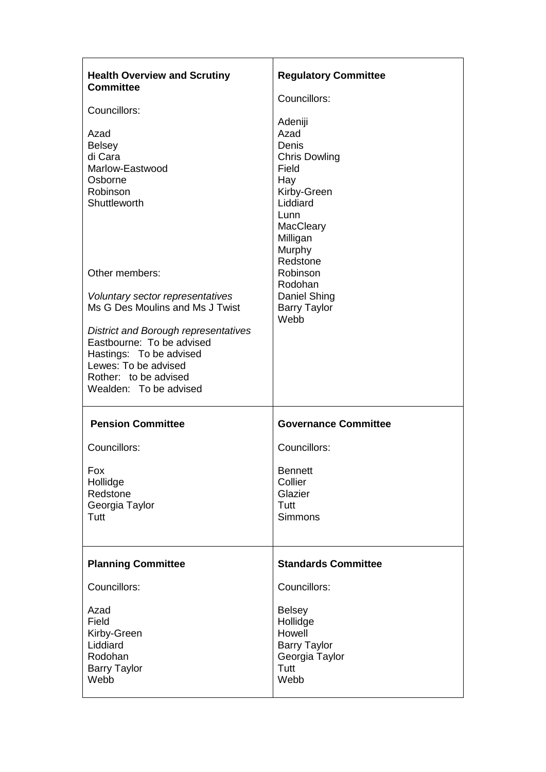| <b>Health Overview and Scrutiny</b><br><b>Committee</b>                                                                                                                        | <b>Regulatory Committee</b>                                                                                                            |  |
|--------------------------------------------------------------------------------------------------------------------------------------------------------------------------------|----------------------------------------------------------------------------------------------------------------------------------------|--|
| Councillors:                                                                                                                                                                   | Councillors:                                                                                                                           |  |
| Azad<br><b>Belsey</b><br>di Cara<br>Marlow-Eastwood<br>Osborne<br>Robinson<br>Shuttleworth                                                                                     | Adeniji<br>Azad<br>Denis<br><b>Chris Dowling</b><br>Field<br>Hay<br>Kirby-Green<br>Liddiard<br>Lunn<br>MacCleary<br>Milligan<br>Murphy |  |
| Other members:                                                                                                                                                                 | Redstone<br>Robinson<br>Rodohan                                                                                                        |  |
| Voluntary sector representatives<br>Ms G Des Moulins and Ms J Twist                                                                                                            | Daniel Shing<br><b>Barry Taylor</b><br>Webb                                                                                            |  |
| <b>District and Borough representatives</b><br>Eastbourne: To be advised<br>Hastings: To be advised<br>Lewes: To be advised<br>Rother: to be advised<br>Wealden: To be advised |                                                                                                                                        |  |
| <b>Pension Committee</b>                                                                                                                                                       | <b>Governance Committee</b>                                                                                                            |  |
| Councillors:                                                                                                                                                                   | Councillors:                                                                                                                           |  |
| Fox<br>Hollidge<br>Redstone<br>Georgia Taylor<br>Tutt                                                                                                                          | <b>Bennett</b><br>Collier<br>Glazier<br>Tutt<br><b>Simmons</b>                                                                         |  |
| <b>Planning Committee</b>                                                                                                                                                      | <b>Standards Committee</b>                                                                                                             |  |
| Councillors:                                                                                                                                                                   | Councillors:                                                                                                                           |  |
| Azad<br>Field<br>Kirby-Green<br>Liddiard<br>Rodohan<br><b>Barry Taylor</b><br>Webb                                                                                             | <b>Belsey</b><br>Hollidge<br>Howell<br><b>Barry Taylor</b><br>Georgia Taylor<br>Tutt<br>Webb                                           |  |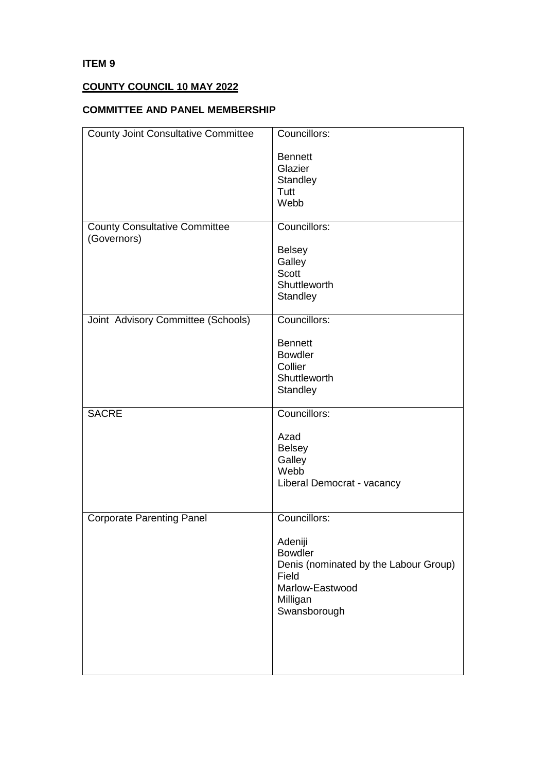#### **ITEM 9**

# **COUNTY COUNCIL 10 MAY 2022**

# **COMMITTEE AND PANEL MEMBERSHIP**

| <b>County Joint Consultative Committee</b> | Councillors:                                                                                                               |  |  |
|--------------------------------------------|----------------------------------------------------------------------------------------------------------------------------|--|--|
|                                            | <b>Bennett</b><br>Glazier<br>Standley<br>Tutt<br>Webb                                                                      |  |  |
| <b>County Consultative Committee</b>       | Councillors:                                                                                                               |  |  |
| (Governors)                                | <b>Belsey</b><br>Galley<br><b>Scott</b><br>Shuttleworth<br>Standley                                                        |  |  |
| Joint Advisory Committee (Schools)         | Councillors:                                                                                                               |  |  |
|                                            | <b>Bennett</b><br><b>Bowdler</b><br>Collier<br>Shuttleworth<br>Standley                                                    |  |  |
| <b>SACRE</b>                               | Councillors:                                                                                                               |  |  |
|                                            | Azad<br><b>Belsey</b><br>Galley<br>Webb<br>Liberal Democrat - vacancy                                                      |  |  |
| <b>Corporate Parenting Panel</b>           | Councillors:                                                                                                               |  |  |
|                                            | Adeniji<br><b>Bowdler</b><br>Denis (nominated by the Labour Group)<br>Field<br>Marlow-Eastwood<br>Milligan<br>Swansborough |  |  |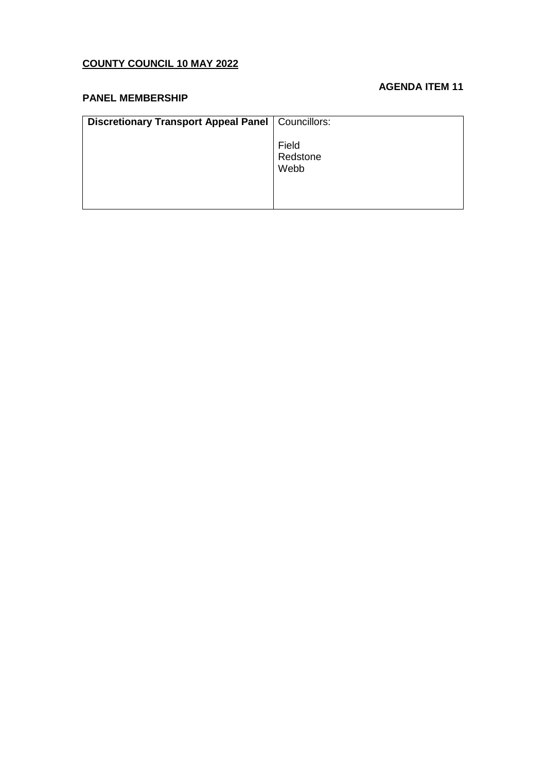# **COUNTY COUNCIL 10 MAY 2022**

#### **AGENDA ITEM 11**

#### **PANEL MEMBERSHIP**

| <b>Discretionary Transport Appeal Panel   Councillors:</b> |                           |
|------------------------------------------------------------|---------------------------|
|                                                            | Field<br>Redstone<br>Webb |